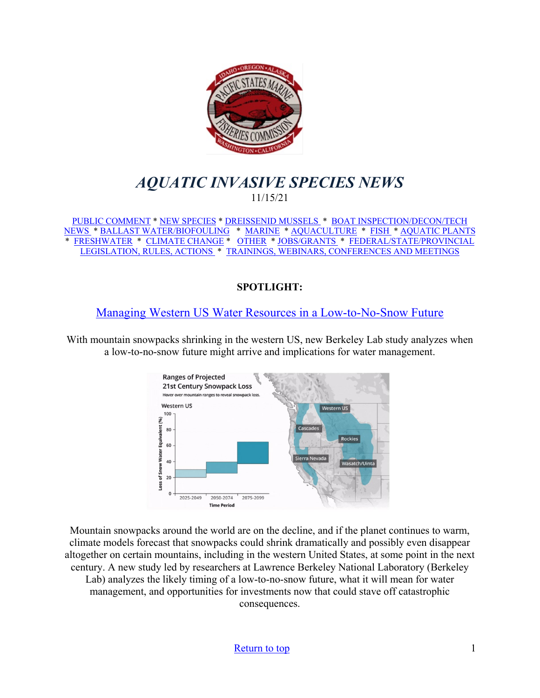<span id="page-0-0"></span>

# *AQUATIC INVASIVE SPECIES NEWS* 11/15/21

[PUBLIC COMMENT](#page-1-0) \* [NEW SPECIES](#page-1-1) \* [DREISSENID MUSSELS](#page-3-0) \* [BOAT INSPECTION/DECON/TECH](#page-3-1)  [NEWS](#page-3-1) [\\* BALLAST WATER/BIOFOULING](#page-4-0) \* [MARINE](#page-4-1) \* [AQUACULTURE](#page-5-0) \* [FISH](#page-6-0) \* [AQUATIC PLANTS](#page-7-0)  \* [FRESHWATER](#page-8-0) \* [CLIMATE CHANGE](#page-9-0) \* [OTHER](#page-10-0) \* [JOBS/GRANTS](#page-12-0) \* [FEDERAL/STATE/PROVINCIAL](#page-16-0)  [LEGISLATION, RULES, ACTIONS](#page-16-0) \* [TRAININGS, WEBINARS, CONFERENCES AND MEETINGS](#page-18-0) 

### **SPOTLIGHT:**

## [Managing Western US Water Resources in a Low-to-No-Snow Future](https://scitechdaily.com/managing-western-us-water-resources-in-a-low-to-no-snow-future/)

With mountain snowpacks shrinking in the western US, new Berkeley Lab study analyzes when a low-to-no-snow future might arrive and implications for water management.



Mountain snowpacks around the world are on the decline, and if the planet continues to warm, climate models forecast that snowpacks could shrink dramatically and possibly even disappear altogether on certain mountains, including in the western United States, at some point in the next century. A new study led by researchers at Lawrence Berkeley National Laboratory (Berkeley Lab) analyzes the likely timing of a low-to-no-snow future, what it will mean for water management, and opportunities for investments now that could stave off catastrophic consequences.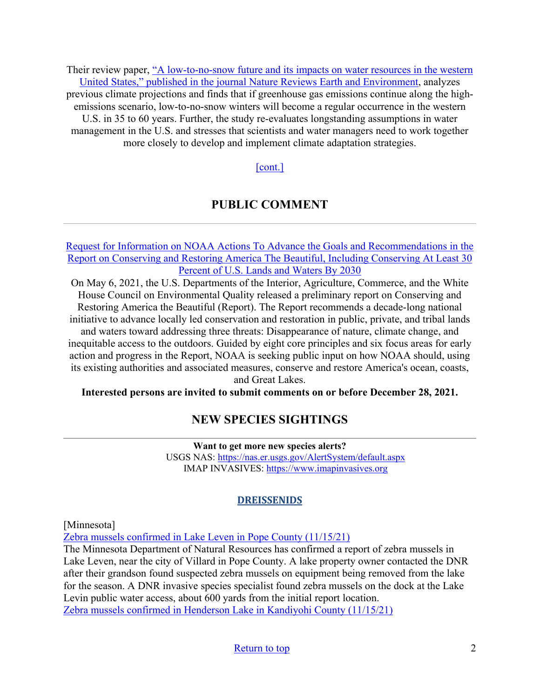Their review paper, "A low-to-no-snow future and its impacts on water resources in the western [United States," published in the journal Nature Reviews Earth and Environment,](https://www.nature.com/articles/s43017-021-00219-y?proof=t) analyzes previous climate projections and finds that if greenhouse gas emissions continue along the highemissions scenario, low-to-no-snow winters will become a regular occurrence in the western U.S. in 35 to 60 years. Further, the study re-evaluates longstanding assumptions in water management in the U.S. and stresses that scientists and water managers need to work together more closely to develop and implement climate adaptation strategies.

#### [\[cont.\]](https://scitechdaily.com/managing-western-us-water-resources-in-a-low-to-no-snow-future/)

## **PUBLIC COMMENT**

<span id="page-1-0"></span>[Request for Information on NOAA Actions To Advance the Goals and Recommendations in the](https://www.federalregister.gov/documents/2021/10/29/2021-23590/request-for-information-on-noaa-actions-to-advance-the-goals-and-recommendations-in-the-report-on)  [Report on Conserving and Restoring America The Beautiful, Including Conserving At Least 30](https://www.federalregister.gov/documents/2021/10/29/2021-23590/request-for-information-on-noaa-actions-to-advance-the-goals-and-recommendations-in-the-report-on)  [Percent of U.S. Lands and Waters By 2030](https://www.federalregister.gov/documents/2021/10/29/2021-23590/request-for-information-on-noaa-actions-to-advance-the-goals-and-recommendations-in-the-report-on)

On May 6, 2021, the U.S. Departments of the Interior, Agriculture, Commerce, and the White House Council on Environmental Quality released a preliminary report on Conserving and Restoring America the Beautiful (Report). The Report recommends a decade-long national initiative to advance locally led conservation and restoration in public, private, and tribal lands and waters toward addressing three threats: Disappearance of nature, climate change, and

inequitable access to the outdoors. Guided by eight core principles and six focus areas for early action and progress in the Report, NOAA is seeking public input on how NOAA should, using its existing authorities and associated measures, conserve and restore America's ocean, coasts, and Great Lakes.

<span id="page-1-1"></span>**Interested persons are invited to submit comments on or before December 28, 2021.** 

### **NEW SPECIES SIGHTINGS**

**Want to get more new species alerts?** USGS NAS:<https://nas.er.usgs.gov/AlertSystem/default.aspx> IMAP INVASIVES: [https://www.imapinvasives.org](https://www.imapinvasives.org/)

#### **DREISSENIDS**

[Minnesota]

[Zebra mussels confirmed in Lake Leven in Pope County \(11/15/21\)](https://www.dnr.state.mn.us/news/2021/11/15/zebra-mussels-confirmed-lake-leven-pope-county)

The Minnesota Department of Natural Resources has confirmed a report of zebra mussels in Lake Leven, near the city of Villard in Pope County. A lake property owner contacted the DNR after their grandson found suspected zebra mussels on equipment being removed from the lake for the season. A DNR invasive species specialist found zebra mussels on the dock at the Lake Levin public water access, about 600 yards from the initial report location. [Zebra mussels confirmed in Henderson Lake in Kandiyohi County \(11/15/21\)](https://www.dnr.state.mn.us/news/2021/11/15/zebra-mussels-confirmed-henderson-lake-kandiyohi-county)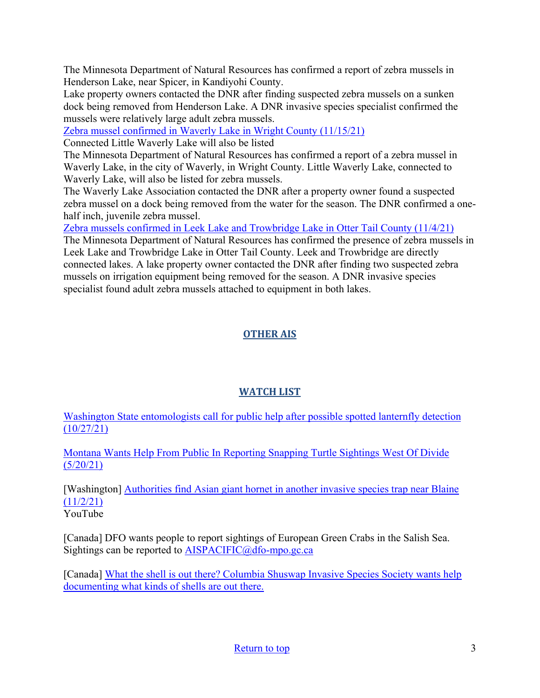The Minnesota Department of Natural Resources has confirmed a report of zebra mussels in Henderson Lake, near Spicer, in Kandiyohi County.

Lake property owners contacted the DNR after finding suspected zebra mussels on a sunken dock being removed from Henderson Lake. A DNR invasive species specialist confirmed the mussels were relatively large adult zebra mussels.

[Zebra mussel confirmed in Waverly Lake in Wright County \(11/15/21\)](https://www.dnr.state.mn.us/news/2021/11/15/zebra-mussel-confirmed-waverly-lake-wright-county)

Connected Little Waverly Lake will also be listed

The Minnesota Department of Natural Resources has confirmed a report of a zebra mussel in Waverly Lake, in the city of Waverly, in Wright County. Little Waverly Lake, connected to Waverly Lake, will also be listed for zebra mussels.

The Waverly Lake Association contacted the DNR after a property owner found a suspected zebra mussel on a dock being removed from the water for the season. The DNR confirmed a onehalf inch, juvenile zebra mussel.

[Zebra mussels confirmed in Leek Lake and Trowbridge Lake in Otter Tail County \(11/4/21\)](https://www.dnr.state.mn.us/news/2021/11/04/zebra-mussels-confirmed-leek-lake-and-trowbridge-lake-otter-tail-county)

The Minnesota Department of Natural Resources has confirmed the presence of zebra mussels in Leek Lake and Trowbridge Lake in Otter Tail County. Leek and Trowbridge are directly connected lakes. A lake property owner contacted the DNR after finding two suspected zebra mussels on irrigation equipment being removed for the season. A DNR invasive species specialist found adult zebra mussels attached to equipment in both lakes.

## **OTHER AIS**

### **WATCH LIST**

[Washington State entomologists call for public help after possible spotted lanternfly detection](https://wastatedeptag.blogspot.com/2021/10/state-entomologists-call-for-public.html)  [\(10/27/21\)](https://wastatedeptag.blogspot.com/2021/10/state-entomologists-call-for-public.html)

[Montana Wants Help From Public In Reporting Snapping Turtle Sightings West Of Divide](https://www.cbbulletin.com/montana-wants-help-from-public-in-reporting-snapping-turtle-sightings-west-of-divide/)   $(5/20/21)$ 

[Washington] **Authorities find Asian giant hornet in another invasive species trap near Blaine**  $(11/2/21)$ YouTube

[Canada] DFO wants people to report sightings of European Green Crabs in the Salish Sea. Sightings can be reported to [AISPACIFIC@dfo-mpo.gc.ca](mailto:AISPACIFIC@dfo-mpo.gc.ca)

[Canada] [What the shell is out there? Columbia Shuswap Invasive Species Society wants help](https://www.castanet.net/news/Salmon-Arm/344047/Columbia-Shuswap-Invasive-Species-Society-wants-help-documenting-what-kinds-of-shells-are-out-there)  [documenting what kinds of shells are out there.](https://www.castanet.net/news/Salmon-Arm/344047/Columbia-Shuswap-Invasive-Species-Society-wants-help-documenting-what-kinds-of-shells-are-out-there)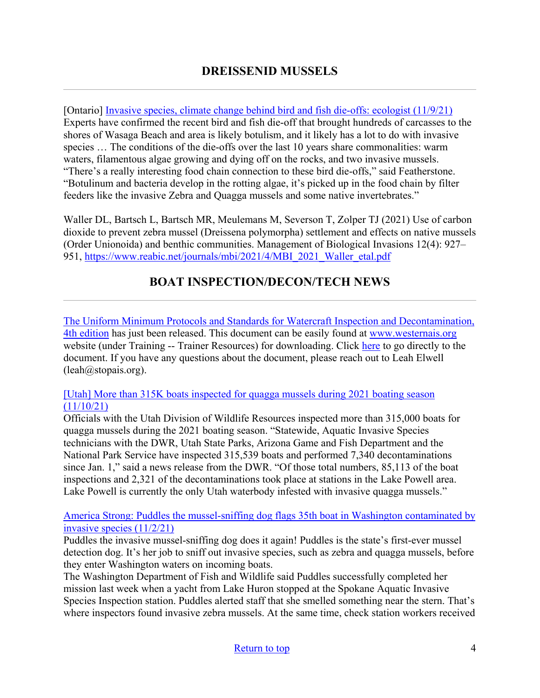<span id="page-3-0"></span>[Ontario] [Invasive species, climate change behind bird and fish die-offs: ecologist \(11/9/21\)](https://www.collingwoodtoday.ca/local-news/invasive-species-climate-change-behind-bird-and-fish-die-offs-ecologist-4740060) Experts have confirmed the recent bird and fish die-off that brought hundreds of carcasses to the shores of Wasaga Beach and area is likely botulism, and it likely has a lot to do with invasive species … The conditions of the die-offs over the last 10 years share commonalities: warm waters, filamentous algae growing and dying off on the rocks, and two invasive mussels. "There's a really interesting food chain connection to these bird die-offs," said Featherstone. "Botulinum and bacteria develop in the rotting algae, it's picked up in the food chain by filter feeders like the invasive Zebra and Quagga mussels and some native invertebrates."

Waller DL, Bartsch L, Bartsch MR, Meulemans M, Severson T, Zolper TJ (2021) Use of carbon dioxide to prevent zebra mussel (Dreissena polymorpha) settlement and effects on native mussels (Order Unionoida) and benthic communities. Management of Biological Invasions 12(4): 927– 951, https://www.reabic.net/journals/mbi/2021/4/MBI\_2021\_Waller\_etal.pdf

# **BOAT INSPECTION/DECON/TECH NEWS**

<span id="page-3-1"></span>[The Uniform Minimum Protocols and Standards for Watercraft Inspection and Decontamination,](https://dcbd3e05-bd2d-418a-a1d2-482dd3b5c008.filesusr.com/ugd/bb76e5_52d65d5039e348188f32c009d892f8c6.pdf)  [4th edition](https://dcbd3e05-bd2d-418a-a1d2-482dd3b5c008.filesusr.com/ugd/bb76e5_52d65d5039e348188f32c009d892f8c6.pdf) has just been released. This document can be easily found at [www.westernais.org](http://www.westernais.org/) website (under Training -- Trainer Resources) for downloading. Click [here](https://dcbd3e05-bd2d-418a-a1d2-482dd3b5c008.filesusr.com/ugd/bb76e5_52d65d5039e348188f32c009d892f8c6.pdf) to go directly to the document. If you have any questions about the document, please reach out to Leah Elwell (leah@stopais.org).

### [\[Utah\] More than 315K boats inspected for quagga mussels during 2021 boating season](https://gephardtdaily.com/local/more-than-315k-boats-inspected-for-quagga-mussels-during-2021-boating-season/?utm_source=IMC+Dreissenid+Digest&utm_campaign=e11770b48b-Weekly_Dreissenid_Digest_4_13_2018_COPY_01&utm_medium=email&utm_term=0_68bd7ec89f-e11770b48b-128742361)   $(11/10/21)$

Officials with the Utah Division of Wildlife Resources inspected more than 315,000 boats for quagga mussels during the 2021 boating season. "Statewide, Aquatic Invasive Species technicians with the DWR, Utah State Parks, Arizona Game and Fish Department and the National Park Service have inspected 315,539 boats and performed 7,340 decontaminations since Jan. 1," said a news release from the DWR. "Of those total numbers, 85,113 of the boat inspections and 2,321 of the decontaminations took place at stations in the Lake Powell area. Lake Powell is currently the only Utah waterbody infested with invasive quagga mussels."

[America Strong: Puddles the mussel-sniffing dog flags 35th boat in Washington contaminated by](https://www.kxly.com/puddles-the-mussel-sniffing-dog-flags-35th-boat-in-washington-contaminated-by-invasive-species/)  [invasive species \(11/2/21\)](https://www.kxly.com/puddles-the-mussel-sniffing-dog-flags-35th-boat-in-washington-contaminated-by-invasive-species/)

Puddles the invasive mussel-sniffing dog does it again! Puddles is the state's first-ever mussel detection dog. It's her job to sniff out invasive species, such as zebra and quagga mussels, before they enter Washington waters on incoming boats.

The Washington Department of Fish and Wildlife said Puddles successfully completed her mission last week when a yacht from Lake Huron stopped at the Spokane Aquatic Invasive Species Inspection station. Puddles alerted staff that she smelled something near the stern. That's where inspectors found invasive zebra mussels. At the same time, check station workers received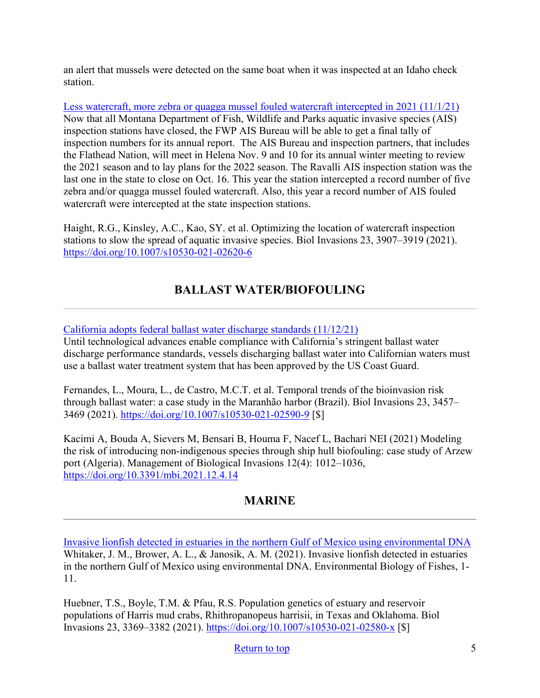an alert that mussels were detected on the same boat when it was inspected at an Idaho check station.

[Less watercraft, more zebra or quagga mussel fouled watercraft intercepted in 2021 \(11/1/21\)](http://www.charkoosta.com/news/less-watercraft-more-zebra-or-quagga-mussel-fouled-watercraft-intercepted-in-2021/article_6289590e-3b33-11ec-9c2e-5f28dfda2206.html) Now that all Montana Department of Fish, Wildlife and Parks aquatic invasive species (AIS) inspection stations have closed, the FWP AIS Bureau will be able to get a final tally of inspection numbers for its annual report. The AIS Bureau and inspection partners, that includes the Flathead Nation, will meet in Helena Nov. 9 and 10 for its annual winter meeting to review the 2021 season and to lay plans for the 2022 season. The Ravalli AIS inspection station was the last one in the state to close on Oct. 16. This year the station intercepted a record number of five zebra and/or quagga mussel fouled watercraft. Also, this year a record number of AIS fouled watercraft were intercepted at the state inspection stations.

Haight, R.G., Kinsley, A.C., Kao, SY. et al. Optimizing the location of watercraft inspection stations to slow the spread of aquatic invasive species. Biol Invasions 23, 3907–3919 (2021). <https://doi.org/10.1007/s10530-021-02620-6>

# **BALLAST WATER/BIOFOULING**

### <span id="page-4-0"></span>[California adopts federal ballast water discharge standards \(11/12/21\)](https://shipinsight.com/articles/california-adopts-federal-ballast-water-discharge-standards/)

Until technological advances enable compliance with California's stringent ballast water discharge performance standards, vessels discharging ballast water into Californian waters must use a ballast water treatment system that has been approved by the US Coast Guard.

Fernandes, L., Moura, L., de Castro, M.C.T. et al. Temporal trends of the bioinvasion risk through ballast water: a case study in the Maranhão harbor (Brazil). Biol Invasions 23, 3457– 3469 (2021).<https://doi.org/10.1007/s10530-021-02590-9> [\$]

Kacimi A, Bouda A, Sievers M, Bensari B, Houma F, Nacef L, Bachari NEI (2021) Modeling the risk of introducing non-indigenous species through ship hull biofouling: case study of Arzew port (Algeria). Management of Biological Invasions 12(4): 1012–1036, <https://doi.org/10.3391/mbi.2021.12.4.14>

## **MARINE**

<span id="page-4-1"></span>[Invasive lionfish detected in estuaries in the northern Gulf of Mexico using environmental DNA](https://link.springer.com/article/10.1007/s10641-021-01177-6?utm_medium=email&utm_source=govdelivery) Whitaker, J. M., Brower, A. L., & Janosik, A. M. (2021). Invasive lionfish detected in estuaries in the northern Gulf of Mexico using environmental DNA. Environmental Biology of Fishes, 1- 11.

Huebner, T.S., Boyle, T.M. & Pfau, R.S. Population genetics of estuary and reservoir populations of Harris mud crabs, Rhithropanopeus harrisii, in Texas and Oklahoma. Biol Invasions 23, 3369–3382 (2021).<https://doi.org/10.1007/s10530-021-02580-x> [\$]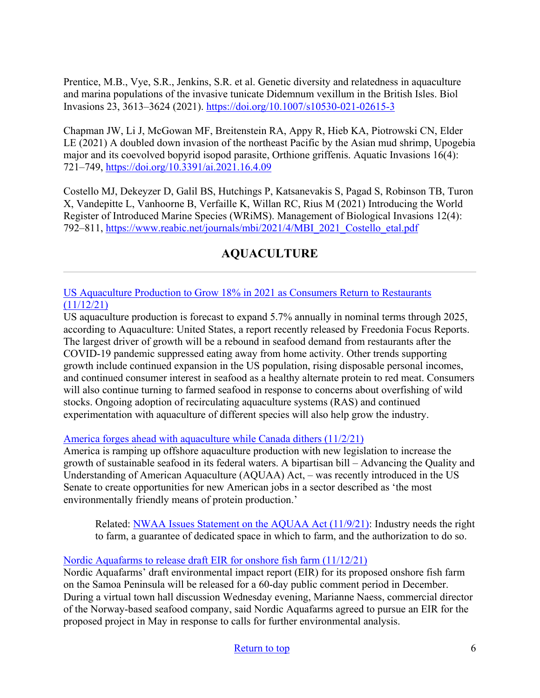Prentice, M.B., Vye, S.R., Jenkins, S.R. et al. Genetic diversity and relatedness in aquaculture and marina populations of the invasive tunicate Didemnum vexillum in the British Isles. Biol Invasions 23, 3613–3624 (2021).<https://doi.org/10.1007/s10530-021-02615-3>

Chapman JW, Li J, McGowan MF, Breitenstein RA, Appy R, Hieb KA, Piotrowski CN, Elder LE (2021) A doubled down invasion of the northeast Pacific by the Asian mud shrimp, Upogebia major and its coevolved bopyrid isopod parasite, Orthione griffenis. Aquatic Invasions 16(4): 721–749,<https://doi.org/10.3391/ai.2021.16.4.09>

Costello MJ, Dekeyzer D, Galil BS, Hutchings P, Katsanevakis S, Pagad S, Robinson TB, Turon X, Vandepitte L, Vanhoorne B, Verfaille K, Willan RC, Rius M (2021) Introducing the World Register of Introduced Marine Species (WRiMS). Management of Biological Invasions 12(4): 792–811, [https://www.reabic.net/journals/mbi/2021/4/MBI\\_2021\\_Costello\\_etal.pdf](https://www.reabic.net/journals/mbi/2021/4/MBI_2021_Costello_etal.pdf) 

# **AQUACULTURE**

<span id="page-5-0"></span>[US Aquaculture Production to Grow 18% in 2021 as Consumers Return to Restaurants](https://www.perishablenews.com/seafood/us-aquaculture-production-to-grow-18-in-2021-as-consumers-return-to-restaurants-2/)  [\(11/12/21\)](https://www.perishablenews.com/seafood/us-aquaculture-production-to-grow-18-in-2021-as-consumers-return-to-restaurants-2/)

US aquaculture production is forecast to expand 5.7% annually in nominal terms through 2025, according to Aquaculture: United States, a report recently released by Freedonia Focus Reports. The largest driver of growth will be a rebound in seafood demand from restaurants after the COVID-19 pandemic suppressed eating away from home activity. Other trends supporting growth include continued expansion in the US population, rising disposable personal incomes, and continued consumer interest in seafood as a healthy alternate protein to red meat. Consumers will also continue turning to farmed seafood in response to concerns about overfishing of wild stocks. Ongoing adoption of recirculating aquaculture systems (RAS) and continued experimentation with aquaculture of different species will also help grow the industry.

[America forges ahead with aquaculture while Canada dithers \(11/2/21\)](https://seawestnews.com/america-forges-ahead-with-aquaculture-while-canada-dithers/)

America is ramping up offshore aquaculture production with new legislation to increase the growth of sustainable seafood in its federal waters. A bipartisan bill – Advancing the Quality and Understanding of American Aquaculture (AQUAA) Act, – was recently introduced in the US Senate to create opportunities for new American jobs in a sector described as 'the most environmentally friendly means of protein production.'

Related: [NWAA Issues Statement on the AQUAA Act \(11/9/21\):](https://www.perishablenews.com/seafood/nwaa-issues-statement-on-the-aquaa-act/) Industry needs the right to farm, a guarantee of dedicated space in which to farm, and the authorization to do so.

### [Nordic Aquafarms to release draft EIR for onshore fish farm \(11/12/21\)](https://www.times-standard.com/2021/11/11/nordic-aquafarms-to-release-draft-eir-for-onshore-fish-farm/)

Nordic Aquafarms' draft environmental impact report (EIR) for its proposed onshore fish farm on the Samoa Peninsula will be released for a 60-day public comment period in December. During a virtual town hall discussion Wednesday evening, Marianne Naess, commercial director of the Norway-based seafood company, said Nordic Aquafarms agreed to pursue an EIR for the proposed project in May in response to calls for further environmental analysis.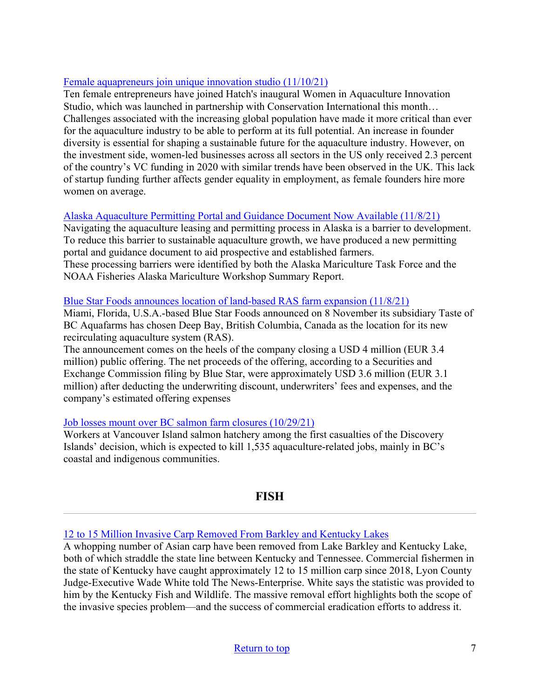### [Female aquapreneurs join unique innovation studio \(11/10/21\)](https://thefishsite.com/articles/female-aquaculture-entrepreneurs-join-unique-innovation-studio)

Ten female entrepreneurs have joined Hatch's inaugural Women in Aquaculture Innovation Studio, which was launched in partnership with Conservation International this month… Challenges associated with the increasing global population have made it more critical than ever for the aquaculture industry to be able to perform at its full potential. An increase in founder diversity is essential for shaping a sustainable future for the aquaculture industry. However, on the investment side, women-led businesses across all sectors in the US only received 2.3 percent of the country's VC funding in 2020 with similar trends have been observed in the UK. This lack of startup funding further affects gender equality in employment, as female founders hire more women on average.

### [Alaska Aquaculture Permitting Portal and Guidance Document Now Available \(11/8/21\)](https://alaska-native-news.com/alaska-aquaculture-permitting-portal-and-guidance-document-now-available/58642/)

Navigating the aquaculture leasing and permitting process in Alaska is a barrier to development. To reduce this barrier to sustainable aquaculture growth, we have produced a new permitting portal and guidance document to aid prospective and established farmers. These processing barriers were identified by both the Alaska Mariculture Task Force and the NOAA Fisheries Alaska Mariculture Workshop Summary Report.

#### [Blue Star Foods announces location of land-based RAS farm expansion \(11/8/21\)](https://www.seafoodsource.com/news/aquaculture/blue-star-foods-announces-location-of-land-based-salmon-farm-expansion)

Miami, Florida, U.S.A.-based Blue Star Foods announced on 8 November its subsidiary Taste of BC Aquafarms has chosen Deep Bay, British Columbia, Canada as the location for its new recirculating aquaculture system (RAS).

The announcement comes on the heels of the company closing a USD 4 million (EUR 3.4 million) public offering. The net proceeds of the offering, according to a Securities and Exchange Commission filing by Blue Star, were approximately USD 3.6 million (EUR 3.1 million) after deducting the underwriting discount, underwriters' fees and expenses, and the company's estimated offering expenses

### [Job losses mount over BC salmon farm closures \(10/29/21\)](https://seawestnews.com/job-losses-mount-over-bc-salmon-farm-closures/)

Workers at Vancouver Island salmon hatchery among the first casualties of the Discovery Islands' decision, which is expected to kill 1,535 aquaculture-related jobs, mainly in BC's coastal and indigenous communities.

## **FISH**

### <span id="page-6-0"></span>[12 to 15 Million Invasive Carp Removed From Barkley and Kentucky Lakes](https://www.fieldandstream.com/conservation/millions-of-carp-removed-from-kentucky-lake/)

A whopping number of Asian carp have been removed from Lake Barkley and Kentucky Lake, both of which straddle the state line between Kentucky and Tennessee. Commercial fishermen in the state of Kentucky have caught approximately 12 to 15 million carp since 2018, Lyon County Judge-Executive Wade White told The News-Enterprise. White says the statistic was provided to him by the Kentucky Fish and Wildlife. The massive removal effort highlights both the scope of the invasive species problem—and the success of commercial eradication efforts to address it.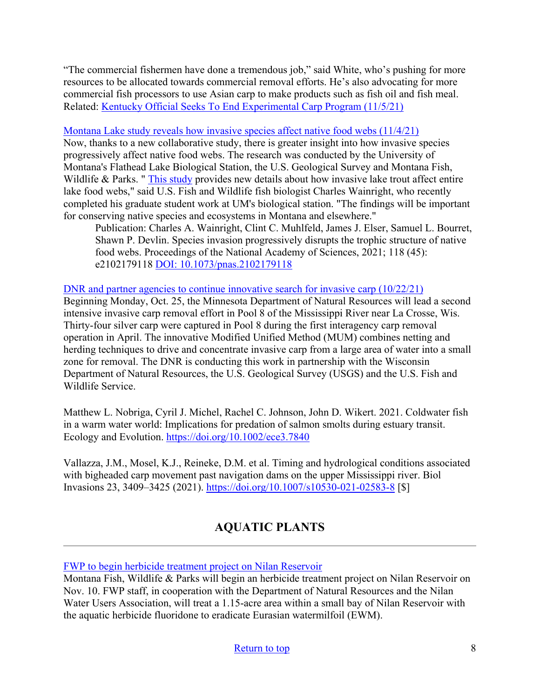"The commercial fishermen have done a tremendous job," said White, who's pushing for more resources to be allocated towards commercial removal efforts. He's also advocating for more commercial fish processors to use Asian carp to make products such as fish oil and fish meal. Related: [Kentucky Official Seeks To End Experimental Carp Program \(11/5/21\)](https://www.waterwaysjournal.net/2021/11/05/kentucky-official-seeks-to-end-experimental-carp-program/)

#### [Montana Lake study reveals how invasive species affect native food webs \(11/4/21\)](https://www.sciencedaily.com/releases/2021/11/211104140129.htm)

Now, thanks to a new collaborative study, there is greater insight into how invasive species progressively affect native food webs. The research was conducted by the University of Montana's Flathead Lake Biological Station, the U.S. Geological Survey and Montana Fish, Wildlife & Parks. " [This study](https://www.pnas.org/content/118/45/e2102179118) provides new details about how invasive lake trout affect entire lake food webs," said U.S. Fish and Wildlife fish biologist Charles Wainright, who recently completed his graduate student work at UM's biological station. "The findings will be important for conserving native species and ecosystems in Montana and elsewhere."

Publication: Charles A. Wainright, Clint C. Muhlfeld, James J. Elser, Samuel L. Bourret, Shawn P. Devlin. Species invasion progressively disrupts the trophic structure of native food webs. Proceedings of the National Academy of Sciences, 2021; 118 (45): e2102179118 [DOI: 10.1073/pnas.2102179118](https://www.pnas.org/content/118/45/e2102179118)

<span id="page-7-0"></span>[DNR and partner agencies to continue innovative search for invasive carp \(10/22/21\)](https://www.dnr.state.mn.us/news/2021/10/22/dnr-and-partner-agencies-continue-innovative-search-invasive-carp?utm_source=feedburnerNational+Invasive+Species+Information+Center+-+What%27s+New&utm_medium=email&utm_campaign=Feed%3A+nisic+%28National+Invasive+Species+Information+Center+-+What%27s+New%29)

Beginning Monday, Oct. 25, the Minnesota Department of Natural Resources will lead a second intensive invasive carp removal effort in Pool 8 of the Mississippi River near La Crosse, Wis. Thirty-four silver carp were captured in Pool 8 during the first interagency carp removal operation in April. The innovative Modified Unified Method (MUM) combines netting and herding techniques to drive and concentrate invasive carp from a large area of water into a small zone for removal. The DNR is conducting this work in partnership with the Wisconsin Department of Natural Resources, the U.S. Geological Survey (USGS) and the U.S. Fish and Wildlife Service.

Matthew L. Nobriga, Cyril J. Michel, Rachel C. Johnson, John D. Wikert. 2021. Coldwater fish in a warm water world: Implications for predation of salmon smolts during estuary transit. Ecology and Evolution.<https://doi.org/10.1002/ece3.7840>

Vallazza, J.M., Mosel, K.J., Reineke, D.M. et al. Timing and hydrological conditions associated with bigheaded carp movement past navigation dams on the upper Mississippi river. Biol Invasions 23, 3409–3425 (2021).<https://doi.org/10.1007/s10530-021-02583-8> [\$]

# **AQUATIC PLANTS**

[FWP to begin herbicide treatment project on Nilan Reservoir](https://www.montanaoutdoor.com/2021/11/fwp-to-begin-herbicide-treatment-project-on-nilan-reservoir/) 

Montana Fish, Wildlife & Parks will begin an herbicide treatment project on Nilan Reservoir on Nov. 10. FWP staff, in cooperation with the Department of Natural Resources and the Nilan Water Users Association, will treat a 1.15-acre area within a small bay of Nilan Reservoir with the aquatic herbicide fluoridone to eradicate Eurasian watermilfoil (EWM).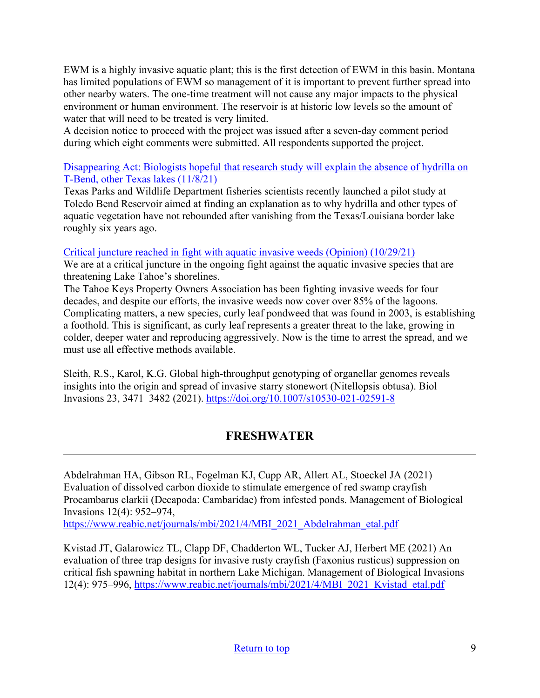EWM is a highly invasive aquatic plant; this is the first detection of EWM in this basin. Montana has limited populations of EWM so management of it is important to prevent further spread into other nearby waters. The one-time treatment will not cause any major impacts to the physical environment or human environment. The reservoir is at historic low levels so the amount of water that will need to be treated is very limited.

A decision notice to proceed with the project was issued after a seven-day comment period during which eight comments were submitted. All respondents supported the project.

### [Disappearing Act: Biologists hopeful that research study will explain the absence of hydrilla on](https://www.beaumontenterprise.com/sports/hs/article/Disappearing-Act-Biologists-hopeful-that-16602573.php)  [T-Bend, other Texas lakes \(11/8/21\)](https://www.beaumontenterprise.com/sports/hs/article/Disappearing-Act-Biologists-hopeful-that-16602573.php)

Texas Parks and Wildlife Department fisheries scientists recently launched a pilot study at Toledo Bend Reservoir aimed at finding an explanation as to why hydrilla and other types of aquatic vegetation have not rebounded after vanishing from the Texas/Louisiana border lake roughly six years ago.

### [Critical juncture reached in fight with aquatic invasive weeds \(Opinion\) \(10/29/21\)](https://www.tahoedailytribune.com/news/opinion/critical-juncture-reached-in-fight-with-aquatic-invasive-weeds-opinion/)

We are at a critical juncture in the ongoing fight against the aquatic invasive species that are threatening Lake Tahoe's shorelines.

The Tahoe Keys Property Owners Association has been fighting invasive weeds for four decades, and despite our efforts, the invasive weeds now cover over 85% of the lagoons. Complicating matters, a new species, curly leaf pondweed that was found in 2003, is establishing a foothold. This is significant, as curly leaf represents a greater threat to the lake, growing in colder, deeper water and reproducing aggressively. Now is the time to arrest the spread, and we must use all effective methods available.

Sleith, R.S., Karol, K.G. Global high-throughput genotyping of organellar genomes reveals insights into the origin and spread of invasive starry stonewort (Nitellopsis obtusa). Biol Invasions 23, 3471–3482 (2021).<https://doi.org/10.1007/s10530-021-02591-8>

# **FRESHWATER**

<span id="page-8-0"></span>Abdelrahman HA, Gibson RL, Fogelman KJ, Cupp AR, Allert AL, Stoeckel JA (2021) Evaluation of dissolved carbon dioxide to stimulate emergence of red swamp crayfish Procambarus clarkii (Decapoda: Cambaridae) from infested ponds. Management of Biological Invasions 12(4): 952–974,

[https://www.reabic.net/journals/mbi/2021/4/MBI\\_2021\\_Abdelrahman\\_etal.pdf](https://www.reabic.net/journals/mbi/2021/4/MBI_2021_Abdelrahman_etal.pdf) 

Kvistad JT, Galarowicz TL, Clapp DF, Chadderton WL, Tucker AJ, Herbert ME (2021) An evaluation of three trap designs for invasive rusty crayfish (Faxonius rusticus) suppression on critical fish spawning habitat in northern Lake Michigan. Management of Biological Invasions 12(4): 975–996, [https://www.reabic.net/journals/mbi/2021/4/MBI\\_2021\\_Kvistad\\_etal.pdf](https://www.reabic.net/journals/mbi/2021/4/MBI_2021_Kvistad_etal.pdf)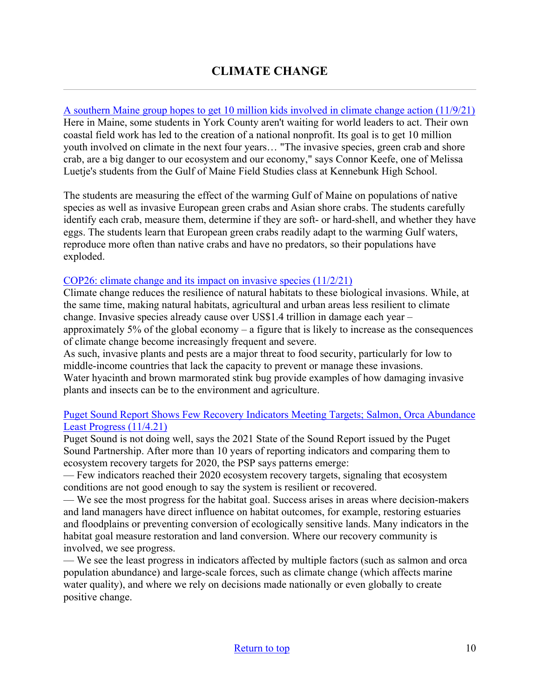<span id="page-9-0"></span>[A southern Maine group hopes to get 10 million kids involved in climate change action \(11/9/21\)](https://www.mainepublic.org/environment-and-outdoors/2021-11-09/a-southern-maine-group-hopes-to-get-10-million-kids-involved-in-climate-change-prevention) Here in Maine, some students in York County aren't waiting for world leaders to act. Their own coastal field work has led to the creation of a national nonprofit. Its goal is to get 10 million youth involved on climate in the next four years… "The invasive species, green crab and shore crab, are a big danger to our ecosystem and our economy," says Connor Keefe, one of Melissa Luetje's students from the Gulf of Maine Field Studies class at Kennebunk High School.

The students are measuring the effect of the warming Gulf of Maine on populations of native species as well as invasive European green crabs and Asian shore crabs. The students carefully identify each crab, measure them, determine if they are soft- or hard-shell, and whether they have eggs. The students learn that European green crabs readily adapt to the warming Gulf waters, reproduce more often than native crabs and have no predators, so their populations have exploded.

#### [COP26: climate change and its impact on invasive species \(11/2/21\)](https://blog.invasive-species.org/2021/11/02/cop26-invasive-species-and-climate-change/?utm_source=feedburnerNational+Invasive+Species+Information+Center+-+What%27s+New&utm_medium=email&utm_campaign=Feed%3A+nisic+%28National+Invasive+Species+Information+Center+-+What%27s+New%29)

Climate change reduces the resilience of natural habitats to these biological invasions. While, at the same time, making natural habitats, agricultural and urban areas less resilient to climate change. Invasive species already cause over US\$1.4 trillion in damage each year – approximately 5% of the global economy – a figure that is likely to increase as the consequences of climate change become increasingly frequent and severe.

As such, invasive plants and pests are a major threat to food security, particularly for low to middle-income countries that lack the capacity to prevent or manage these invasions. Water hyacinth and brown marmorated stink bug provide examples of how damaging invasive plants and insects can be to the environment and agriculture.

### [Puget Sound Report Shows Few Recovery Indicators Meeting Targets; Salmon, Orca Abundance](https://www.cbbulletin.com/puget-sound-report-shows-few-recovery-indicators-meeting-targets-salmon-orca-abundance-least-progress/)  [Least Progress \(11/4.21\)](https://www.cbbulletin.com/puget-sound-report-shows-few-recovery-indicators-meeting-targets-salmon-orca-abundance-least-progress/)

Puget Sound is not doing well, says the 2021 State of the Sound Report issued by the Puget Sound Partnership. After more than 10 years of reporting indicators and comparing them to ecosystem recovery targets for 2020, the PSP says patterns emerge:

— Few indicators reached their 2020 ecosystem recovery targets, signaling that ecosystem conditions are not good enough to say the system is resilient or recovered.

— We see the most progress for the habitat goal. Success arises in areas where decision-makers and land managers have direct influence on habitat outcomes, for example, restoring estuaries and floodplains or preventing conversion of ecologically sensitive lands. Many indicators in the habitat goal measure restoration and land conversion. Where our recovery community is involved, we see progress.

— We see the least progress in indicators affected by multiple factors (such as salmon and orca population abundance) and large-scale forces, such as climate change (which affects marine water quality), and where we rely on decisions made nationally or even globally to create positive change.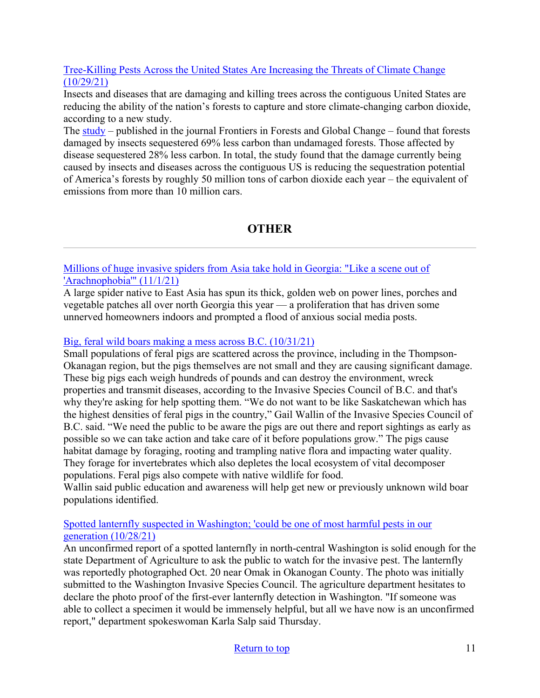### [Tree-Killing Pests Across the United States Are Increasing the Threats of Climate Change](https://www.nature.org/en-us/newsroom/pests-pathogens-threats-forests-climate/?utm_source=feedburnerNational+Invasive+Species+Information+Center+-+What%27s+New&utm_medium=email&utm_campaign=Feed%3A+nisic+%28National+Invasive+Species+Information+Center+-+What%27s+New%29) [\(10/29/21\)](https://www.nature.org/en-us/newsroom/pests-pathogens-threats-forests-climate/?utm_source=feedburnerNational+Invasive+Species+Information+Center+-+What%27s+New&utm_medium=email&utm_campaign=Feed%3A+nisic+%28National+Invasive+Species+Information+Center+-+What%27s+New%29)

Insects and diseases that are damaging and killing trees across the contiguous United States are reducing the ability of the nation's forests to capture and store climate-changing carbon dioxide, according to a new study.

The  $\frac{\text{study}}{\text{study}}$  – published in the journal Frontiers in Forests and Global Change – found that forests damaged by insects sequestered 69% less carbon than undamaged forests. Those affected by disease sequestered 28% less carbon. In total, the study found that the damage currently being caused by insects and diseases across the contiguous US is reducing the sequestration potential of America's forests by roughly 50 million tons of carbon dioxide each year – the equivalent of emissions from more than 10 million cars.

# **OTHER**

<span id="page-10-0"></span>[Millions of huge invasive spiders from Asia take hold in Georgia: "Like a scene out of](https://www.cbsnews.com/news/joro-spiders-georgia-asia-invasive-species/)  ['Arachnophobia'" \(11/1/21\)](https://www.cbsnews.com/news/joro-spiders-georgia-asia-invasive-species/)

A large spider native to East Asia has spun its thick, golden web on power lines, porches and vegetable patches all over north Georgia this year — a proliferation that has driven some unnerved homeowners indoors and prompted a flood of anxious social media posts.

### [Big, feral wild boars making a mess across B.C. \(10/31/21\)](https://infotel.ca/newsitem/big-feral-wild-boars-making-a-mess-across-bc/it86700)

Small populations of feral pigs are scattered across the province, including in the Thompson-Okanagan region, but the pigs themselves are not small and they are causing significant damage. These big pigs each weigh hundreds of pounds and can destroy the environment, wreck properties and transmit diseases, according to the Invasive Species Council of B.C. and that's why they're asking for help spotting them. "We do not want to be like Saskatchewan which has the highest densities of feral pigs in the country," Gail Wallin of the Invasive Species Council of B.C. said. "We need the public to be aware the pigs are out there and report sightings as early as possible so we can take action and take care of it before populations grow." The pigs cause habitat damage by foraging, rooting and trampling native flora and impacting water quality. They forage for invertebrates which also depletes the local ecosystem of vital decomposer populations. Feral pigs also compete with native wildlife for food.

Wallin said public education and awareness will help get new or previously unknown wild boar populations identified.

### [Spotted lanternfly suspected in Washington; 'could be one of most harmful pests in our](https://www.capitalpress.com/state/washington/spotted-lanternfly-suspected-in-washington-could-be-one-of-most-harmful-pests-in-our-generation/article_b30571b4-380f-11ec-9fb2-d31fc0c7493c.html)  [generation \(10/28/21\)](https://www.capitalpress.com/state/washington/spotted-lanternfly-suspected-in-washington-could-be-one-of-most-harmful-pests-in-our-generation/article_b30571b4-380f-11ec-9fb2-d31fc0c7493c.html)

An unconfirmed report of a spotted lanternfly in north-central Washington is solid enough for the state Department of Agriculture to ask the public to watch for the invasive pest. The lanternfly was reportedly photographed Oct. 20 near Omak in Okanogan County. The photo was initially submitted to the Washington Invasive Species Council. The agriculture department hesitates to declare the photo proof of the first-ever lanternfly detection in Washington. "If someone was able to collect a specimen it would be immensely helpful, but all we have now is an unconfirmed report," department spokeswoman Karla Salp said Thursday.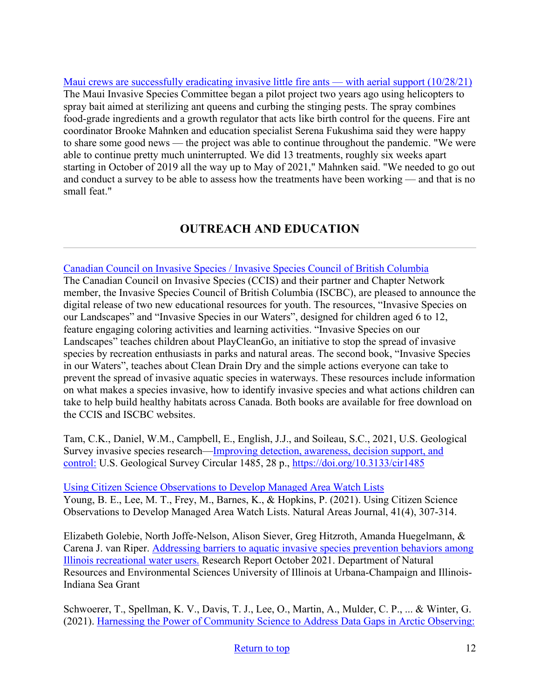[Maui crews are successfully eradicating invasive little fire ants — with aerial support \(10/28/21\)](https://www.hawaiipublicradio.org/the-conversation/2021-10-28/maui-crews-are-successfully-eradicating-invasive-little-fire-ants-with-aerial-support) The Maui Invasive Species Committee began a pilot project two years ago using helicopters to spray bait aimed at sterilizing ant queens and curbing the stinging pests. The spray combines food-grade ingredients and a growth regulator that acts like birth control for the queens. Fire ant coordinator Brooke Mahnken and education specialist Serena Fukushima said they were happy to share some good news — the project was able to continue throughout the pandemic. "We were able to continue pretty much uninterrupted. We did 13 treatments, roughly six weeks apart starting in October of 2019 all the way up to May of 2021," Mahnken said. "We needed to go out and conduct a survey to be able to assess how the treatments have been working — and that is no small feat."

# **OUTREACH AND EDUCATION**

### [Canadian Council on Invasive Species / Invasive Species Council of British Columbia](https://canadainvasives.ca/)

The Canadian Council on Invasive Species (CCIS) and their partner and Chapter Network member, the Invasive Species Council of British Columbia (ISCBC), are pleased to announce the digital release of two new educational resources for youth. The resources, "Invasive Species on our Landscapes" and "Invasive Species in our Waters", designed for children aged 6 to 12, feature engaging coloring activities and learning activities. "Invasive Species on our Landscapes" teaches children about PlayCleanGo, an initiative to stop the spread of invasive species by recreation enthusiasts in parks and natural areas. The second book, "Invasive Species in our Waters", teaches about Clean Drain Dry and the simple actions everyone can take to prevent the spread of invasive aquatic species in waterways. These resources include information on what makes a species invasive, how to identify invasive species and what actions children can take to help build healthy habitats across Canada. Both books are available for free download on the CCIS and ISCBC websites.

Tam, C.K., Daniel, W.M., Campbell, E., English, J.J., and Soileau, S.C., 2021, U.S. Geological Survey invasive species research[—Improving detection, awareness, decision support, and](https://pubs.er.usgs.gov/publication/cir1485?utm_medium=email&utm_source=govdelivery)  [control:](https://pubs.er.usgs.gov/publication/cir1485?utm_medium=email&utm_source=govdelivery) U.S. Geological Survey Circular 1485, 28 p.,<https://doi.org/10.3133/cir1485>

[Using Citizen Science Observations to Develop Managed Area Watch Lists](https://bioone.org/journals/natural-areas-journal/volume-41/issue-4/21-8/Using-Citizen-Science-Observations-to-Develop-Managed-Area-Watch-Lists/10.3375/21-8.full) Young, B. E., Lee, M. T., Frey, M., Barnes, K., & Hopkins, P. (2021). Using Citizen Science Observations to Develop Managed Area Watch Lists. Natural Areas Journal, 41(4), 307-314.

Elizabeth Golebie, North Joffe-Nelson, Alison Siever, Greg Hitzroth, Amanda Huegelmann, & Carena J. van Riper. [Addressing barriers to aquatic invasive species prevention behaviors among](http://publish.illinois.edu/angler-behavior-and-aquatic-invasive-species/files/2021/10/DNR-report_Final.pdf?utm_medium=email&utm_source=govdelivery)  [Illinois recreational water users.](http://publish.illinois.edu/angler-behavior-and-aquatic-invasive-species/files/2021/10/DNR-report_Final.pdf?utm_medium=email&utm_source=govdelivery) Research Report October 2021. Department of Natural Resources and Environmental Sciences University of Illinois at Urbana-Champaign and Illinois-Indiana Sea Grant

Schwoerer, T., Spellman, K. V., Davis, T. J., Lee, O., Martin, A., Mulder, C. P., ... & Winter, G. (2021). [Harnessing the Power of Community Science to Address Data Gaps in Arctic Observing:](https://journalhosting.ucalgary.ca/index.php/arctic/article/view/73773)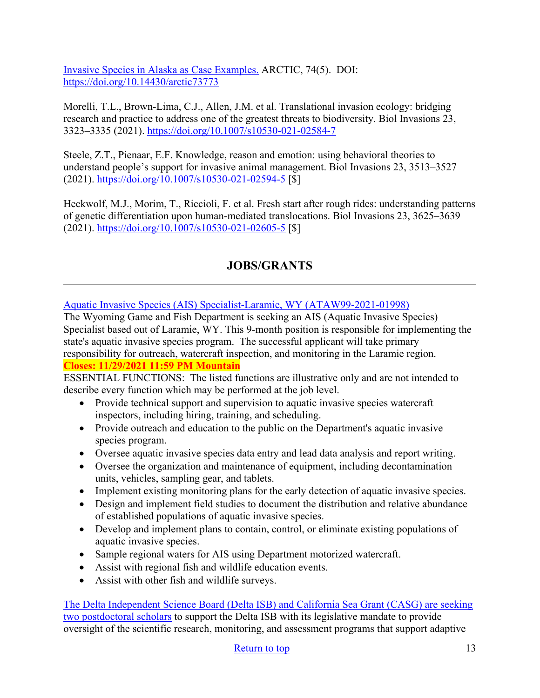[Invasive Species in Alaska as Case Examples.](https://journalhosting.ucalgary.ca/index.php/arctic/article/view/73773) ARCTIC, 74(5). DOI: <https://doi.org/10.14430/arctic73773>

Morelli, T.L., Brown-Lima, C.J., Allen, J.M. et al. Translational invasion ecology: bridging research and practice to address one of the greatest threats to biodiversity. Biol Invasions 23, 3323–3335 (2021).<https://doi.org/10.1007/s10530-021-02584-7>

Steele, Z.T., Pienaar, E.F. Knowledge, reason and emotion: using behavioral theories to understand people's support for invasive animal management. Biol Invasions 23, 3513–3527 (2021).<https://doi.org/10.1007/s10530-021-02594-5> [\$]

Heckwolf, M.J., Morim, T., Riccioli, F. et al. Fresh start after rough rides: understanding patterns of genetic differentiation upon human-mediated translocations. Biol Invasions 23, 3625–3639 (2021).<https://doi.org/10.1007/s10530-021-02605-5> [\$]

# **JOBS/GRANTS**

<span id="page-12-0"></span>[Aquatic Invasive Species \(AIS\) Specialist-Laramie, WY \(ATAW99-2021-01998\)](https://www.governmentjobs.com/careers/wyoming/jobs/3298218/ataw99-2021-01998-aquatic-invasive-species-ais-specialist-laramie?department%5b0%5d=040-Game%20%26%20Fish&sort=PositionTitle%7CAscending&pagetype=jobOpportunitiesJobs)

The Wyoming Game and Fish Department is seeking an AIS (Aquatic Invasive Species) Specialist based out of Laramie, WY. This 9-month position is responsible for implementing the state's aquatic invasive species program. The successful applicant will take primary responsibility for outreach, watercraft inspection, and monitoring in the Laramie region.

## **Closes: 11/29/2021 11:59 PM Mountain**

ESSENTIAL FUNCTIONS: The listed functions are illustrative only and are not intended to describe every function which may be performed at the job level.

- Provide technical support and supervision to aquatic invasive species watercraft inspectors, including hiring, training, and scheduling.
- Provide outreach and education to the public on the Department's aquatic invasive species program.
- Oversee aquatic invasive species data entry and lead data analysis and report writing.
- Oversee the organization and maintenance of equipment, including decontamination units, vehicles, sampling gear, and tablets.
- Implement existing monitoring plans for the early detection of aquatic invasive species.
- Design and implement field studies to document the distribution and relative abundance of established populations of aquatic invasive species.
- Develop and implement plans to contain, control, or eliminate existing populations of aquatic invasive species.
- Sample regional waters for AIS using Department motorized watercraft.
- Assist with regional fish and wildlife education events.
- Assist with other fish and wildlife surveys.

[The Delta Independent Science Board \(Delta ISB\) and California Sea Grant \(CASG\) are seeking](https://caseagrant.ucsd.edu/jobs/delta-independent-science-board-postdoctoral-scholars)  [two postdoctoral scholars](https://caseagrant.ucsd.edu/jobs/delta-independent-science-board-postdoctoral-scholars) to support the Delta ISB with its legislative mandate to provide oversight of the scientific research, monitoring, and assessment programs that support adaptive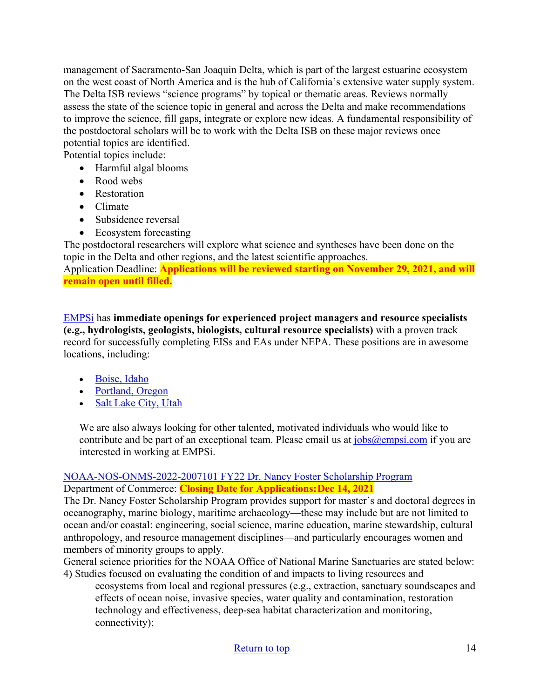management of Sacramento-San Joaquin Delta, which is part of the largest estuarine ecosystem on the west coast of North America and is the hub of California's extensive water supply system. The Delta ISB reviews "science programs" by topical or thematic areas. Reviews normally assess the state of the science topic in general and across the Delta and make recommendations to improve the science, fill gaps, integrate or explore new ideas. A fundamental responsibility of the postdoctoral scholars will be to work with the Delta ISB on these major reviews once potential topics are identified.

Potential topics include:

- Harmful algal blooms
- Rood webs
- Restoration
- Climate
- Subsidence reversal
- Ecosystem forecasting

The postdoctoral researchers will explore what science and syntheses have been done on the topic in the Delta and other regions, and the latest scientific approaches.

Application Deadline: **Applications will be reviewed starting on November 29, 2021, and will remain open until filled.**

[EMPSi](https://www.empsi.com/working-at-empsi) has **immediate openings for experienced project managers and resource specialists (e.g., hydrologists, geologists, biologists, cultural resource specialists)** with a proven track record for successfully completing EISs and EAs under NEPA. These positions are in awesome locations, including:

- [Boise, Idaho](https://www.empsi.com/s/General-Planner-PM-specialist-Ad_Boise_2019.pdf)
- [Portland, Oregon](https://www.empsi.com/s/General-Planner-PM-specialist-Ad_PDX_2019.pdf)
- [Salt Lake City, Utah](https://www.empsi.com/s/General-Planner-PM-specialist-Ad_SLC_2019.pdf)

We are also always looking for other talented, motivated individuals who would like to contribute and be part of an exceptional team. Please email us at  $i_{obs}$  ( $Q$ empsi.com if you are interested in working at EMPSi.

#### [NOAA-NOS-ONMS-2022-2007101 FY22 Dr. Nancy Foster Scholarship Program](https://www.grants.gov/web/grants/view-opportunity.html?oppId=336194) Department of Commerce: **Closing Date for Applications: Dec 14, 2021**

The Dr. Nancy Foster Scholarship Program provides support for master's and doctoral degrees in oceanography, marine biology, maritime archaeology—these may include but are not limited to ocean and/or coastal: engineering, social science, marine education, marine stewardship, cultural anthropology, and resource management disciplines—and particularly encourages women and members of minority groups to apply.

General science priorities for the NOAA Office of National Marine Sanctuaries are stated below: 4) Studies focused on evaluating the condition of and impacts to living resources and

ecosystems from local and regional pressures (e.g., extraction, sanctuary soundscapes and effects of ocean noise, invasive species, water quality and contamination, restoration technology and effectiveness, deep-sea habitat characterization and monitoring, connectivity);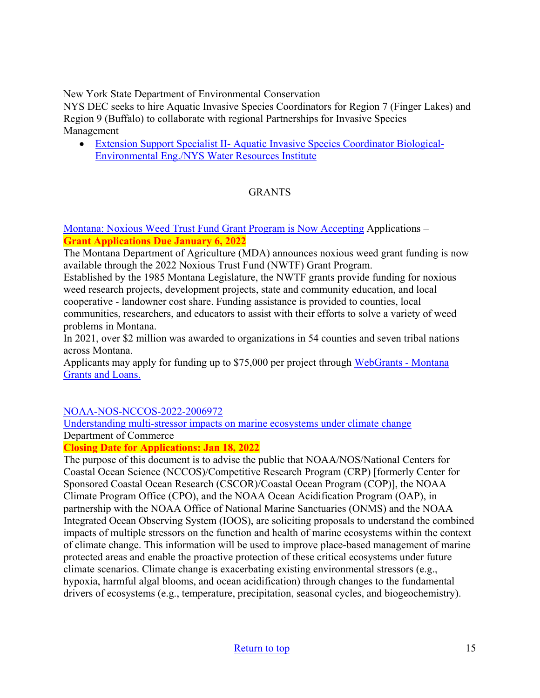New York State Department of Environmental Conservation

NYS DEC seeks to hire Aquatic Invasive Species Coordinators for Region 7 (Finger Lakes) and Region 9 (Buffalo) to collaborate with regional Partnerships for Invasive Species Management

• [Extension Support Specialist II- Aquatic Invasive Species Coordinator Biological-](https://cornell.wd1.myworkdayjobs.com/CornellCareerPage/job/New-York-State-Other/Extension-Support-Specialist-II--Aquatic-Invasive-Species-Coordinator-Biological-Environmental-Eng-NYS-Water-Resources-Institute_WDR-00028419-1)[Environmental Eng./NYS Water Resources Institute](https://cornell.wd1.myworkdayjobs.com/CornellCareerPage/job/New-York-State-Other/Extension-Support-Specialist-II--Aquatic-Invasive-Species-Coordinator-Biological-Environmental-Eng-NYS-Water-Resources-Institute_WDR-00028419-1)

### GRANTS

[Montana: Noxious Weed Trust Fund Grant Program is Now Accepting](https://agr.mt.gov/NoxiousWeedTrustFund) Applications – **Grant Applications Due January 6, 2022** 

The Montana Department of Agriculture (MDA) announces noxious weed grant funding is now available through the 2022 Noxious Trust Fund (NWTF) Grant Program.

Established by the 1985 Montana Legislature, the NWTF grants provide funding for noxious weed research projects, development projects, state and community education, and local cooperative - landowner cost share. Funding assistance is provided to counties, local communities, researchers, and educators to assist with their efforts to solve a variety of weed problems in Montana.

In 2021, over \$2 million was awarded to organizations in 54 counties and seven tribal nations across Montana.

Applicants may apply for funding up to \$75,000 per project through [WebGrants - Montana](https://agr.mt.gov/NoxiousWeedTrustFund)  [Grants and Loans.](https://agr.mt.gov/NoxiousWeedTrustFund) 

### [NOAA-NOS-NCCOS-2022-2006972](https://www.grants.gov/web/grants/view-opportunity.html?oppId=334906)

[Understanding multi-stressor impacts on marine ecosystems under climate change](https://www.grants.gov/web/grants/view-opportunity.html?oppId=334906) Department of Commerce

**Closing Date for Applications: Jan 18, 2022** 

The purpose of this document is to advise the public that NOAA/NOS/National Centers for Coastal Ocean Science (NCCOS)/Competitive Research Program (CRP) [formerly Center for Sponsored Coastal Ocean Research (CSCOR)/Coastal Ocean Program (COP)], the NOAA Climate Program Office (CPO), and the NOAA Ocean Acidification Program (OAP), in partnership with the NOAA Office of National Marine Sanctuaries (ONMS) and the NOAA Integrated Ocean Observing System (IOOS), are soliciting proposals to understand the combined impacts of multiple stressors on the function and health of marine ecosystems within the context of climate change. This information will be used to improve place-based management of marine protected areas and enable the proactive protection of these critical ecosystems under future climate scenarios. Climate change is exacerbating existing environmental stressors (e.g., hypoxia, harmful algal blooms, and ocean acidification) through changes to the fundamental drivers of ecosystems (e.g., temperature, precipitation, seasonal cycles, and biogeochemistry).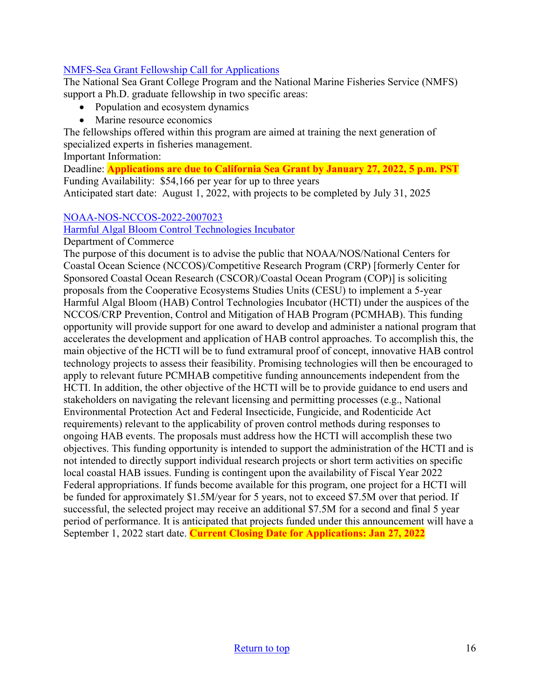### [NMFS-Sea Grant Fellowship Call for Applications](https://caseagrant.ucsd.edu/fellowships/2022-nmfs-sea-grant-fellowship-in-population-and-ecosystem-dynamics-and-marine-resource)

The National Sea Grant College Program and the National Marine Fisheries Service (NMFS) support a Ph.D. graduate fellowship in two specific areas:

- Population and ecosystem dynamics
- Marine resource economics

The fellowships offered within this program are aimed at training the next generation of specialized experts in fisheries management.

Important Information:

Deadline: **Applications are due to California Sea Grant by January 27, 2022, 5 p.m. PST** Funding Availability: \$54,166 per year for up to three years

Anticipated start date: August 1, 2022, with projects to be completed by July 31, 2025

### [NOAA-NOS-NCCOS-2022-2007023](https://www.grants.gov/web/grants/view-opportunity.html?oppId=335726)

[Harmful Algal Bloom Control Technologies Incubator](https://www.grants.gov/web/grants/view-opportunity.html?oppId=335726)

Department of Commerce

The purpose of this document is to advise the public that NOAA/NOS/National Centers for Coastal Ocean Science (NCCOS)/Competitive Research Program (CRP) [formerly Center for Sponsored Coastal Ocean Research (CSCOR)/Coastal Ocean Program (COP)] is soliciting proposals from the Cooperative Ecosystems Studies Units (CESU) to implement a 5-year Harmful Algal Bloom (HAB) Control Technologies Incubator (HCTI) under the auspices of the NCCOS/CRP Prevention, Control and Mitigation of HAB Program (PCMHAB). This funding opportunity will provide support for one award to develop and administer a national program that accelerates the development and application of HAB control approaches. To accomplish this, the main objective of the HCTI will be to fund extramural proof of concept, innovative HAB control technology projects to assess their feasibility. Promising technologies will then be encouraged to apply to relevant future PCMHAB competitive funding announcements independent from the HCTI. In addition, the other objective of the HCTI will be to provide guidance to end users and stakeholders on navigating the relevant licensing and permitting processes (e.g., National Environmental Protection Act and Federal Insecticide, Fungicide, and Rodenticide Act requirements) relevant to the applicability of proven control methods during responses to ongoing HAB events. The proposals must address how the HCTI will accomplish these two objectives. This funding opportunity is intended to support the administration of the HCTI and is not intended to directly support individual research projects or short term activities on specific local coastal HAB issues. Funding is contingent upon the availability of Fiscal Year 2022 Federal appropriations. If funds become available for this program, one project for a HCTI will be funded for approximately \$1.5M/year for 5 years, not to exceed \$7.5M over that period. If successful, the selected project may receive an additional \$7.5M for a second and final 5 year period of performance. It is anticipated that projects funded under this announcement will have a September 1, 2022 start date. **Current Closing Date for Applications: Jan 27, 2022**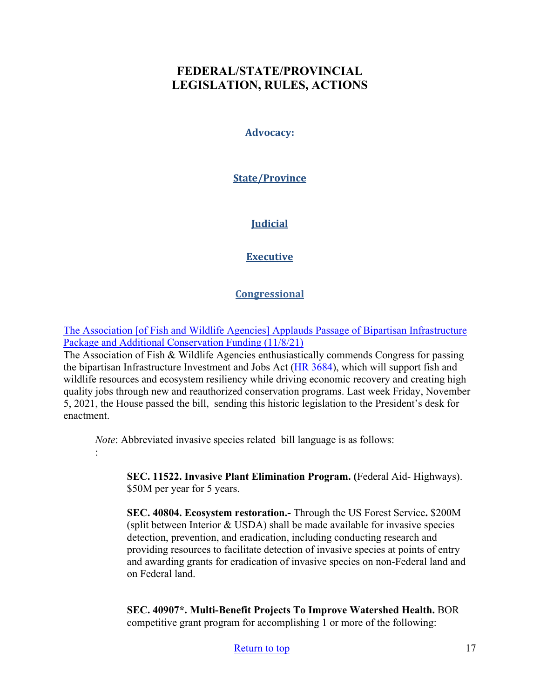## <span id="page-16-0"></span>**FEDERAL/STATE/PROVINCIAL LEGISLATION, RULES, ACTIONS**

#### **Advocacy:**

### **State/Province**

### **Judicial**

### **Executive**

#### **Congressional**

[The Association \[of Fish and Wildlife Agencies\] Applauds Passage of Bipartisan Infrastructure](https://www.fishwildlife.org/landing/blog/association-applauds-passage-bipartisan-infrastructure-package-and-additional-conservation-funding)  [Package and Additional Conservation Funding \(11/8/21\)](https://www.fishwildlife.org/landing/blog/association-applauds-passage-bipartisan-infrastructure-package-and-additional-conservation-funding)

The Association of Fish & Wildlife Agencies enthusiastically commends Congress for passing the bipartisan Infrastructure Investment and Jobs Act [\(HR 3684\)](https://www.congress.gov/bill/117th-congress/house-bill/3684), which will support fish and wildlife resources and ecosystem resiliency while driving economic recovery and creating high quality jobs through new and reauthorized conservation programs. Last week Friday, November 5, 2021, the House passed the bill, sending this historic legislation to the President's desk for enactment.

*Note*: Abbreviated invasive species related bill language is as follows:

:

**SEC. 11522. Invasive Plant Elimination Program. (**Federal Aid- Highways). \$50M per year for 5 years.

**SEC. 40804. Ecosystem restoration.-** Through the US Forest Service**.** \$200M (split between Interior & USDA) shall be made available for invasive species detection, prevention, and eradication, including conducting research and providing resources to facilitate detection of invasive species at points of entry and awarding grants for eradication of invasive species on non-Federal land and on Federal land.

**SEC. 40907\*. Multi-Benefit Projects To Improve Watershed Health.** BOR competitive grant program for accomplishing 1 or more of the following: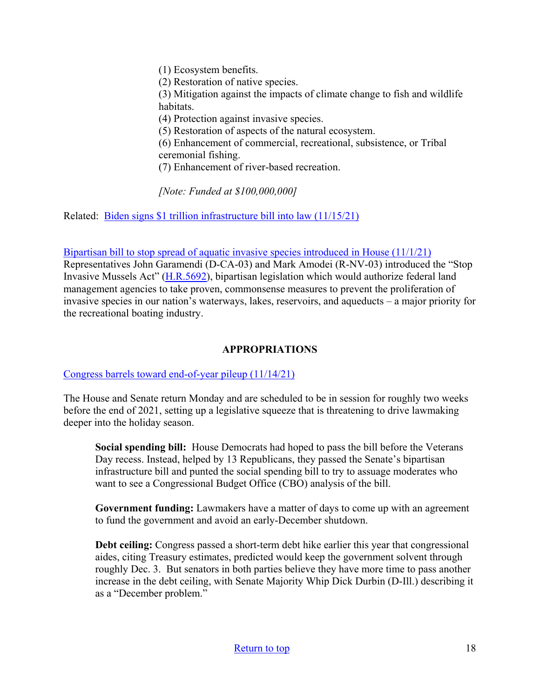(1) Ecosystem benefits. (2) Restoration of native species. (3) Mitigation against the impacts of climate change to fish and wildlife habitats. (4) Protection against invasive species. (5) Restoration of aspects of the natural ecosystem. (6) Enhancement of commercial, recreational, subsistence, or Tribal ceremonial fishing. (7) Enhancement of river-based recreation.

*[Note: Funded at \$100,000,000]* 

Related: [Biden signs \\$1 trillion infrastructure bill into law \(11/15/21\)](https://thehill.com/homenews/administration/580369-biden-signs-1-trillion-infrastructure-bill-into-law)

Bipartisan bill to stop spread of aquatic invasive species introduced in House  $(11/1/21)$ Representatives John Garamendi (D-CA-03) and Mark Amodei (R-NV-03) introduced the "Stop Invasive Mussels Act" [\(H.R.5692\)](https://www.congress.gov/bill/117th-congress/house-bill/5692?q=%7B%22search%22%3A%5B%22H.R.5692%22%2C%22H.R.5692%22%5D%7D&s=2&r=1), bipartisan legislation which would authorize federal land management agencies to take proven, commonsense measures to prevent the proliferation of invasive species in our nation's waterways, lakes, reservoirs, and aqueducts – a major priority for the recreational boating industry.

### **APPROPRIATIONS**

### [Congress barrels toward end-of-year pileup \(11/14/21\)](https://thehill.com/homenews/senate/581387-congress-barrels-toward-end-of-year-pile-up)

The House and Senate return Monday and are scheduled to be in session for roughly two weeks before the end of 2021, setting up a legislative squeeze that is threatening to drive lawmaking deeper into the holiday season.

**Social spending bill:** House Democrats had hoped to pass the bill before the Veterans Day recess. Instead, helped by 13 Republicans, they passed the Senate's bipartisan infrastructure bill and punted the social spending bill to try to assuage moderates who want to see a Congressional Budget Office (CBO) analysis of the bill.

**Government funding:** Lawmakers have a matter of days to come up with an agreement to fund the government and avoid an early-December shutdown.

**Debt ceiling:** Congress passed a short-term debt hike earlier this year that congressional aides, citing Treasury estimates, predicted would keep the government solvent through roughly Dec. 3. But senators in both parties believe they have more time to pass another increase in the debt ceiling, with Senate Majority Whip Dick Durbin (D-Ill.) describing it as a "December problem."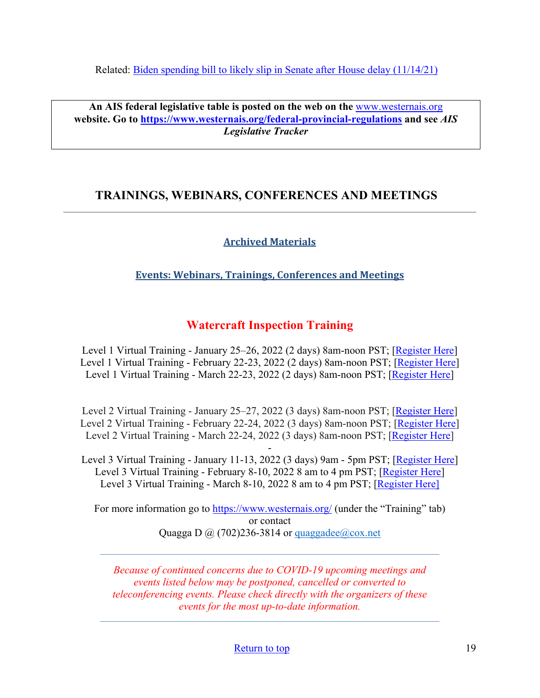Related: [Biden spending bill to likely slip in Senate after](https://thehill.com/homenews/senate/581464-biden-spending-bill-slips-in-senate-after-house-delays) House delay (11/14/21)

**An AIS federal legislative table is posted on the web on the** [www.westernais.org](http://www.westernais.org/) **website. Go to<https://www.westernais.org/federal-provincial-regulations> and see** *AIS Legislative Tracker*

## <span id="page-18-0"></span>**TRAININGS, WEBINARS, CONFERENCES AND MEETINGS**

## **Archived Materials**

### **Events: Webinars, Trainings, Conferences and Meetings**

## **Watercraft Inspection Training**

Level 1 Virtual Training - January 25–26, 2022 (2 days) 8am-noon PST; [\[Register Here\]](https://us02web.zoom.us/meeting/register/tZAkfuuqrjMtGdE-3JkpwtYRsat5pIzbttla) Level 1 Virtual Training - February 22-23, 2022 (2 days) 8am-noon PST; [\[Register Here\]](https://us02web.zoom.us/meeting/register/tZYrfuCsqD4qHNE2BOiqfC0RIGgYVmJwGHlD) Level 1 Virtual Training - March 22-23, 2022 (2 days) 8am-noon PST; [\[Register Here\]](https://us02web.zoom.us/meeting/register/tZcpcO-hpz8jGNJ6Weax-__pDobzlIzmahMU)

Level 2 Virtual Training - January 25–27, 2022 (3 days) 8am-noon PST; [\[Register Here\]](https://us02web.zoom.us/meeting/register/tZAkfuuqrjMtGdE-3JkpwtYRsat5pIzbttla) Level 2 Virtual Training - February 22-24, 2022 (3 days) 8am-noon PST; [\[Register Here\]](https://us02web.zoom.us/meeting/register/tZYrfuCsqD4qHNE2BOiqfC0RIGgYVmJwGHlD) Level 2 Virtual Training - March 22-24, 2022 (3 days) 8am-noon PST; [\[Register Here\]](https://us02web.zoom.us/meeting/register/tZcpcO-hpz8jGNJ6Weax-__pDobzlIzmahMU)

- Level 3 Virtual Training - January 11-13, 2022 (3 days) 9am - 5pm PST; [\[Register Here\]](https://us02web.zoom.us/meeting/register/tZUlceusrz8tEtxpkyyr9PfPy9piCHkIki8K) Level 3 Virtual Training - February 8-10, 2022 8 am to 4 pm PST; [\[Register Here\]](https://us02web.zoom.us/meeting/register/tZYqd-6oqzwiEtW6Wi8APl6yvFnI3kX8wASM) Level 3 Virtual Training - March 8-10, 2022 8 am to 4 pm PST; [\[Register Here\]](https://us02web.zoom.us/meeting/register/tZIqcOCspjgoGNZwELYrMT8J9RJzGDf94Aza)

For more information go to<https://www.westernais.org/> (under the "Training" tab) or contact Quagga D  $\omega$  (702)236-3814 or quaggadee $\omega$ cox.net

*Because of continued concerns due to COVID-19 upcoming meetings and events listed below may be postponed, cancelled or converted to teleconferencing events. Please check directly with the organizers of these events for the most up-to-date information.*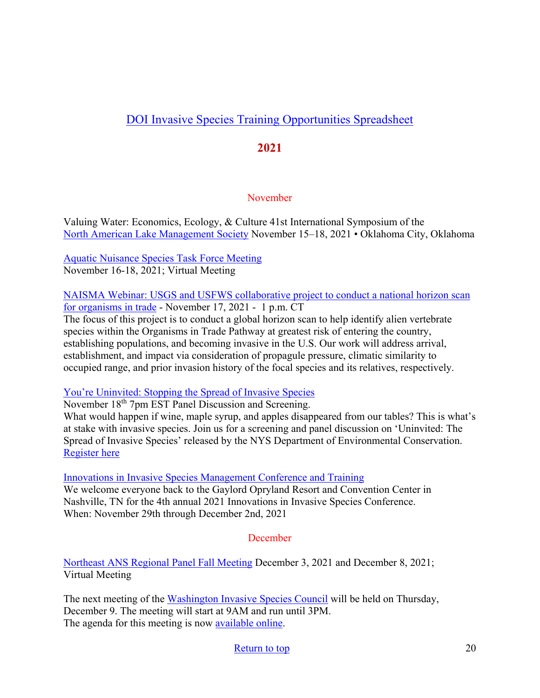# [DOI Invasive Species Training Opportunities Spreadsheet](https://www.doi.gov/sites/doi.gov/files/doi-invasive-species-training-opportunities.pdf)

## **2021**

### November

Valuing Water: Economics, Ecology, & Culture 41st International Symposium of the [North American Lake Management Society](https://www.nalms.org/) November 15–18, 2021 • Oklahoma City, Oklahoma

[Aquatic Nuisance Species Task Force Meeting](https://www.fws.gov/anstaskforce/meetings.php) November 16-18, 2021; Virtual Meeting

[NAISMA Webinar: USGS and USFWS collaborative project to conduct a national horizon scan](https://naisma.org/programs/professional-development/webinars/?utm_medium=email&utm_source=govdelivery)  [for organisms in trade](https://naisma.org/programs/professional-development/webinars/?utm_medium=email&utm_source=govdelivery) - November 17, 2021 - 1 p.m. CT

The focus of this project is to conduct a global horizon scan to help identify alien vertebrate species within the Organisms in Trade Pathway at greatest risk of entering the country, establishing populations, and becoming invasive in the U.S. Our work will address arrival, establishment, and impact via consideration of propagule pressure, climatic similarity to occupied range, and prior invasion history of the focal species and its relatives, respectively.

[You're Uninvited: Stopping the Spread of Invasive Species](https://wskg.org/science/youre-uninvited-stopping-the-spread-of-invasive-species/) 

November 18<sup>th</sup> 7pm EST Panel Discussion and Screening.

What would happen if wine, maple syrup, and apples disappeared from our tables? This is what's at stake with invasive species. Join us for a screening and panel discussion on 'Uninvited: The Spread of Invasive Species' released by the NYS Department of Environmental Conservation. [Register here](https://www.eventbrite.com/e/youre-uninvited-stopping-the-spread-of-invasive-species-tickets-199325527017)

[Innovations in Invasive Species Management Conference and Training](https://www.invasiveplantcontrol.com/conference21/)

We welcome everyone back to the Gaylord Opryland Resort and Convention Center in Nashville, TN for the 4th annual 2021 Innovations in Invasive Species Conference. When: November 29th through December 2nd, 2021

### **December**

[Northeast ANS Regional Panel Fall Meeting](https://www.northeastans.org/index.php/home/meetings-and-panel-information/?utm_medium=email&utm_source=govdelivery) December 3, 2021 and December 8, 2021; Virtual Meeting

The next meeting of the [Washington Invasive Species Council](https://invasivespecies.wa.gov/) will be held on Thursday, December 9. The meeting will start at 9AM and run until 3PM. The agenda for this meeting is now [available online.](https://invasivespecies.wa.gov/wp-content/uploads/2021/11/Agenda-December-9-2021.pdf)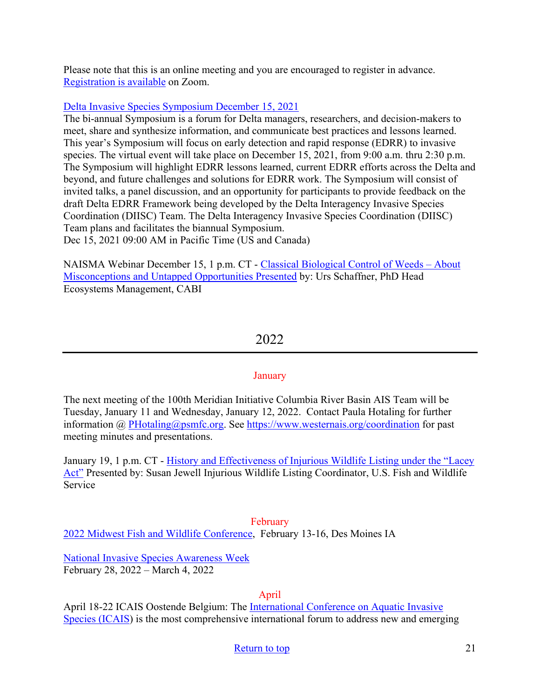Please note that this is an online meeting and you are encouraged to register in advance. [Registration is available](https://zoom.us/webinar/register/WN_KFOO6oz9Sx2AmvJgs7S0eA) on Zoom.

### [Delta Invasive Species Symposium December 15, 2021](https://us06web.zoom.us/webinar/register/WN_ySWjLFgPRUuRI-aM8PNQYQ)

The bi-annual Symposium is a forum for Delta managers, researchers, and decision-makers to meet, share and synthesize information, and communicate best practices and lessons learned. This year's Symposium will focus on early detection and rapid response (EDRR) to invasive species. The virtual event will take place on December 15, 2021, from 9:00 a.m. thru 2:30 p.m. The Symposium will highlight EDRR lessons learned, current EDRR efforts across the Delta and beyond, and future challenges and solutions for EDRR work. The Symposium will consist of invited talks, a panel discussion, and an opportunity for participants to provide feedback on the draft Delta EDRR Framework being developed by the Delta Interagency Invasive Species Coordination (DIISC) Team. The Delta Interagency Invasive Species Coordination (DIISC) Team plans and facilitates the biannual Symposium. Dec 15, 2021 09:00 AM in Pacific Time (US and Canada)

NAISMA Webinar December 15, 1 p.m. CT - [Classical Biological Control of Weeds – About](https://us02web.zoom.us/webinar/register/WN_t2IRbQzlS26rIOM1cdT4SA?utm_medium=email&utm_source=govdelivery)  [Misconceptions and Untapped Opportunities Presented](https://us02web.zoom.us/webinar/register/WN_t2IRbQzlS26rIOM1cdT4SA?utm_medium=email&utm_source=govdelivery) by: Urs Schaffner, PhD Head Ecosystems Management, CABI

### 2022

### January

The next meeting of the 100th Meridian Initiative Columbia River Basin AIS Team will be Tuesday, January 11 and Wednesday, January 12, 2022.Contact Paula Hotaling for further information @ [PHotaling@psmfc.org.](mailto:PHotaling@psmfc.org) See<https://www.westernais.org/coordination>for past meeting minutes and presentations.

January 19, 1 p.m. CT - [History and Effectiveness of Injurious Wildlife Listing under the "Lacey](https://us02web.zoom.us/webinar/register/WN_CWioD48QTUKCGxz1rZxryw?utm_medium=email&utm_source=govdelivery)  [Act"](https://us02web.zoom.us/webinar/register/WN_CWioD48QTUKCGxz1rZxryw?utm_medium=email&utm_source=govdelivery) Presented by: Susan Jewell Injurious Wildlife Listing Coordinator, U.S. Fish and Wildlife Service

### February

[2022 Midwest Fish and Wildlife Conference,](http://www.midwestfw.org/html/call-for-symposia.shtml) February 13-16, Des Moines IA

[National Invasive Species Awareness Week](https://www.nisaw.org/?utm_medium=email&utm_source=govdelivery) February 28, 2022 – March 4, 2022

### April

April 18-22 ICAIS Oostende Belgium: The [International Conference on Aquatic Invasive](http://www.icais.org/)  [Species \(ICAIS\)](http://www.icais.org/) is the most comprehensive international forum to address new and emerging